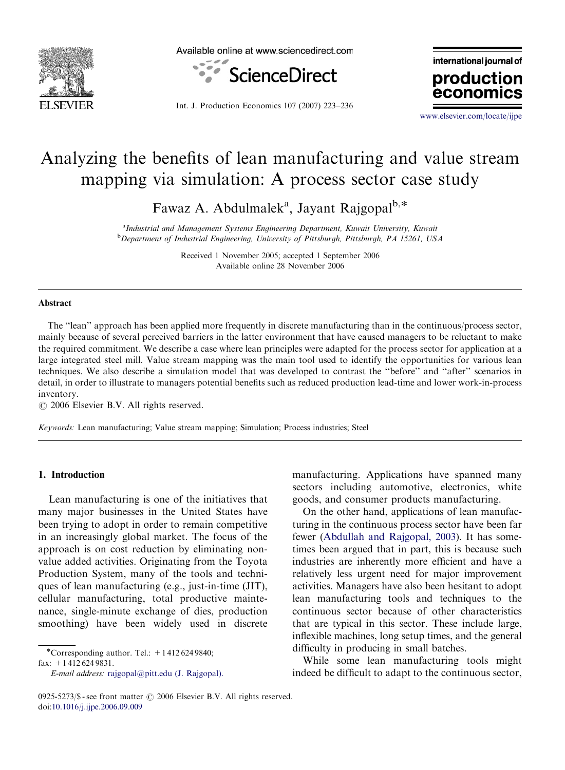

Available online at www.sciencedirect.com



Int. J. Production Economics 107 (2007) 223–236

international journal of production econor

<www.elsevier.com/locate/ijpe>

## Analyzing the benefits of lean manufacturing and value stream mapping via simulation: A process sector case study

Fawaz A. Abdulmalek<sup>a</sup>, Jayant Rajgopal<sup>b,\*</sup>

<sup>a</sup>Industrial and Management Systems Engineering Department, Kuwait University, Kuwait <sup>b</sup>Department of Industrial Engineering, University of Pittsburgh, Pittsburgh, PA 15261, USA

> Received 1 November 2005; accepted 1 September 2006 Available online 28 November 2006

#### Abstract

The ''lean'' approach has been applied more frequently in discrete manufacturing than in the continuous/process sector, mainly because of several perceived barriers in the latter environment that have caused managers to be reluctant to make the required commitment. We describe a case where lean principles were adapted for the process sector for application at a large integrated steel mill. Value stream mapping was the main tool used to identify the opportunities for various lean techniques. We also describe a simulation model that was developed to contrast the ''before'' and ''after'' scenarios in detail, in order to illustrate to managers potential benefits such as reduced production lead-time and lower work-in-process inventory.

 $O$  2006 Elsevier B.V. All rights reserved.

Keywords: Lean manufacturing; Value stream mapping; Simulation; Process industries; Steel

#### 1. Introduction

Lean manufacturing is one of the initiatives that many major businesses in the United States have been trying to adopt in order to remain competitive in an increasingly global market. The focus of the approach is on cost reduction by eliminating nonvalue added activities. Originating from the Toyota Production System, many of the tools and techniques of lean manufacturing (e.g., just-in-time (JIT), cellular manufacturing, total productive maintenance, single-minute exchange of dies, production smoothing) have been widely used in discrete

-Corresponding author. Tel.: +1 412 624 9840;

fax: +1 412 624 9831.

E-mail address: [rajgopal@pitt.edu \(J. Rajgopal\).](mailto:rajgopal@pitt.edu)

manufacturing. Applications have spanned many sectors including automotive, electronics, white goods, and consumer products manufacturing.

On the other hand, applications of lean manufacturing in the continuous process sector have been far fewer ([Abdullah and Rajgopal, 2003](#page--1-0)). It has sometimes been argued that in part, this is because such industries are inherently more efficient and have a relatively less urgent need for major improvement activities. Managers have also been hesitant to adopt lean manufacturing tools and techniques to the continuous sector because of other characteristics that are typical in this sector. These include large, inflexible machines, long setup times, and the general difficulty in producing in small batches.

While some lean manufacturing tools might indeed be difficult to adapt to the continuous sector,

<sup>0925-5273/\$ -</sup> see front matter  $\odot$  2006 Elsevier B.V. All rights reserved. doi:[10.1016/j.ijpe.2006.09.009](dx.doi.org/10.1016/j.ijpe.2006.09.009)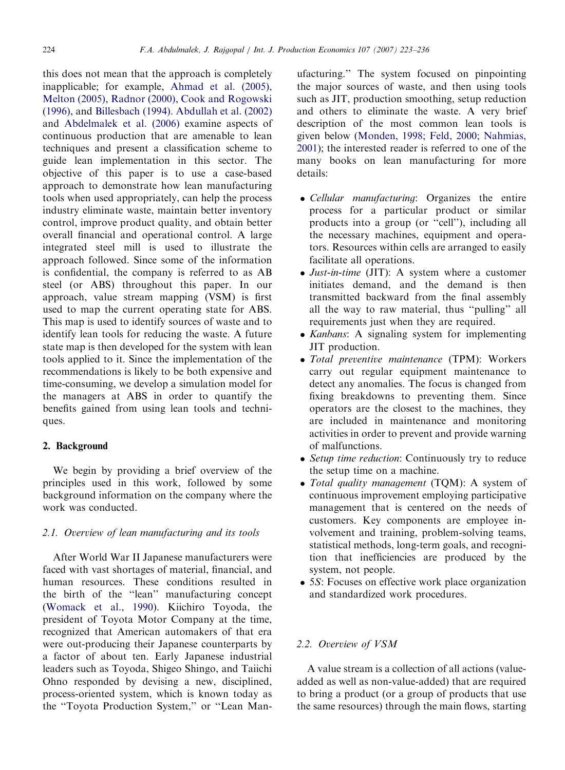this does not mean that the approach is completely inapplicable; for example, [Ahmad et al. \(2005\),](#page--1-0) [Melton \(2005\),](#page--1-0) [Radnor \(2000\)](#page--1-0), [Cook and Rogowski](#page--1-0) [\(1996\),](#page--1-0) and [Billesbach \(1994\)](#page--1-0). [Abdullah et al. \(2002\)](#page--1-0) and [Abdelmalek et al. \(2006\)](#page--1-0) examine aspects of continuous production that are amenable to lean techniques and present a classification scheme to guide lean implementation in this sector. The objective of this paper is to use a case-based approach to demonstrate how lean manufacturing tools when used appropriately, can help the process industry eliminate waste, maintain better inventory control, improve product quality, and obtain better overall financial and operational control. A large integrated steel mill is used to illustrate the approach followed. Since some of the information is confidential, the company is referred to as AB steel (or ABS) throughout this paper. In our approach, value stream mapping (VSM) is first used to map the current operating state for ABS. This map is used to identify sources of waste and to identify lean tools for reducing the waste. A future state map is then developed for the system with lean tools applied to it. Since the implementation of the recommendations is likely to be both expensive and time-consuming, we develop a simulation model for the managers at ABS in order to quantify the benefits gained from using lean tools and techniques.

### 2. Background

We begin by providing a brief overview of the principles used in this work, followed by some background information on the company where the work was conducted.

### 2.1. Overview of lean manufacturing and its tools

After World War II Japanese manufacturers were faced with vast shortages of material, financial, and human resources. These conditions resulted in the birth of the ''lean'' manufacturing concept ([Womack et al., 1990\)](#page--1-0). Kiichiro Toyoda, the president of Toyota Motor Company at the time, recognized that American automakers of that era were out-producing their Japanese counterparts by a factor of about ten. Early Japanese industrial leaders such as Toyoda, Shigeo Shingo, and Taiichi Ohno responded by devising a new, disciplined, process-oriented system, which is known today as the ''Toyota Production System,'' or ''Lean Manufacturing.'' The system focused on pinpointing the major sources of waste, and then using tools such as JIT, production smoothing, setup reduction and others to eliminate the waste. A very brief description of the most common lean tools is given below ([Monden, 1998; Feld, 2000; Nahmias,](#page--1-0) [2001](#page--1-0)); the interested reader is referred to one of the many books on lean manufacturing for more details:

- Cellular manufacturing: Organizes the entire process for a particular product or similar products into a group (or ''cell''), including all the necessary machines, equipment and operators. Resources within cells are arranged to easily facilitate all operations.
- Just-in-time (JIT): A system where a customer initiates demand, and the demand is then transmitted backward from the final assembly all the way to raw material, thus ''pulling'' all requirements just when they are required.
- Kanbans: A signaling system for implementing JIT production.
- Total preventive maintenance (TPM): Workers carry out regular equipment maintenance to detect any anomalies. The focus is changed from fixing breakdowns to preventing them. Since operators are the closest to the machines, they are included in maintenance and monitoring activities in order to prevent and provide warning of malfunctions.
- Setup time reduction: Continuously try to reduce the setup time on a machine.
- Total quality management (TQM): A system of continuous improvement employing participative management that is centered on the needs of customers. Key components are employee involvement and training, problem-solving teams, statistical methods, long-term goals, and recognition that inefficiencies are produced by the system, not people.
- 5S: Focuses on effective work place organization and standardized work procedures.

#### 2.2. Overview of VSM

A value stream is a collection of all actions (valueadded as well as non-value-added) that are required to bring a product (or a group of products that use the same resources) through the main flows, starting